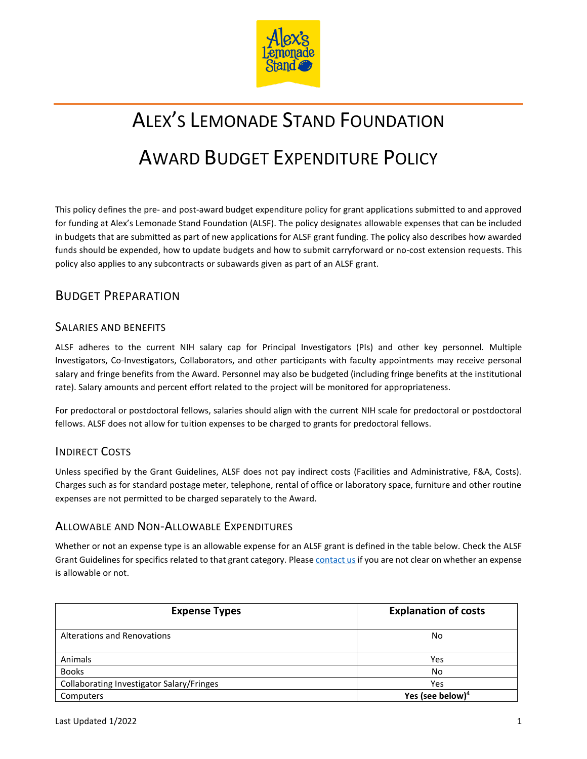

# ALEX'S LEMONADE STAND FOUNDATION AWARD BUDGET EXPENDITURE POLICY

This policy defines the pre- and post-award budget expenditure policy for grant applications submitted to and approved for funding at Alex's Lemonade Stand Foundation (ALSF). The policy designates allowable expenses that can be included in budgets that are submitted as part of new applications for ALSF grant funding. The policy also describes how awarded funds should be expended, how to update budgets and how to submit carryforward or no-cost extension requests. This policy also applies to any subcontracts or subawards given as part of an ALSF grant.

# BUDGET PREPARATION

#### SALARIES AND BENEFITS

ALSF adheres to the current NIH salary cap for Principal Investigators (PIs) and other key personnel. Multiple Investigators, Co-Investigators, Collaborators, and other participants with faculty appointments may receive personal salary and fringe benefits from the Award. Personnel may also be budgeted (including fringe benefits at the institutional rate). Salary amounts and percent effort related to the project will be monitored for appropriateness.

For predoctoral or postdoctoral fellows, salaries should align with the current NIH scale for predoctoral or postdoctoral fellows. ALSF does not allow for tuition expenses to be charged to grants for predoctoral fellows.

# INDIRECT COSTS

Unless specified by the Grant Guidelines, ALSF does not pay indirect costs (Facilities and Administrative, F&A, Costs). Charges such as for standard postage meter, telephone, rental of office or laboratory space, furniture and other routine expenses are not permitted to be charged separately to the Award.

#### ALLOWABLE AND NON-ALLOWABLE EXPENDITURES

Whether or not an expense type is an allowable expense for an ALSF grant is defined in the table below. Check the ALSF Grant Guidelines for specifics related to that grant category. Pleas[e contact us](mailto:Grants@AlexsLemonade.org) if you are not clear on whether an expense is allowable or not.

| <b>Expense Types</b>                      | <b>Explanation of costs</b> |
|-------------------------------------------|-----------------------------|
| Alterations and Renovations               | No                          |
| Animals                                   | Yes                         |
| <b>Books</b>                              | No                          |
| Collaborating Investigator Salary/Fringes | Yes                         |
| Computers                                 | Yes (see below) $4$         |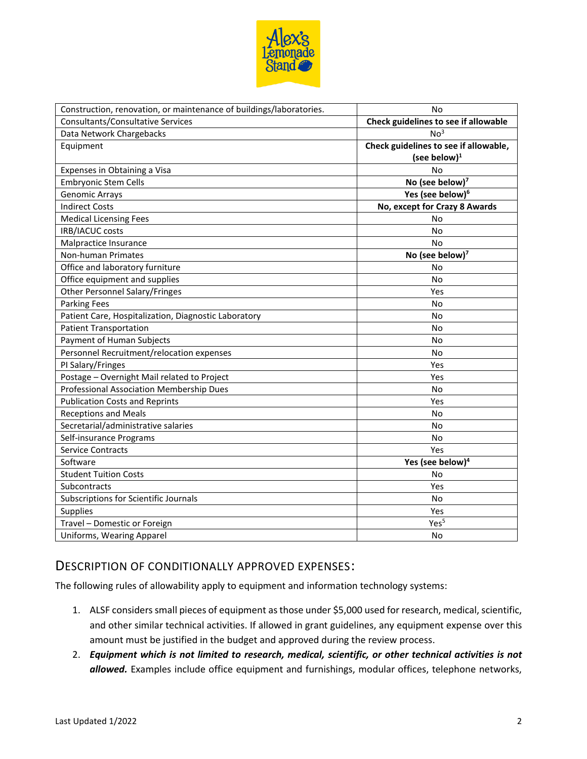

| Construction, renovation, or maintenance of buildings/laboratories. | No                                    |
|---------------------------------------------------------------------|---------------------------------------|
| Consultants/Consultative Services                                   | Check guidelines to see if allowable  |
| Data Network Chargebacks                                            | No <sup>3</sup>                       |
| Equipment                                                           | Check guidelines to see if allowable, |
|                                                                     | (see below) $1$                       |
| Expenses in Obtaining a Visa                                        | No                                    |
| <b>Embryonic Stem Cells</b>                                         | No (see below) $7$                    |
| <b>Genomic Arrays</b>                                               | Yes (see below) <sup>6</sup>          |
| <b>Indirect Costs</b>                                               | No, except for Crazy 8 Awards         |
| <b>Medical Licensing Fees</b>                                       | No                                    |
| IRB/IACUC costs                                                     | No                                    |
| Malpractice Insurance                                               | No                                    |
| Non-human Primates                                                  | No (see below) <sup>7</sup>           |
| Office and laboratory furniture                                     | No                                    |
| Office equipment and supplies                                       | No                                    |
| <b>Other Personnel Salary/Fringes</b>                               | Yes                                   |
| <b>Parking Fees</b>                                                 | No                                    |
| Patient Care, Hospitalization, Diagnostic Laboratory                | No                                    |
| <b>Patient Transportation</b>                                       | No                                    |
| Payment of Human Subjects                                           | No                                    |
| Personnel Recruitment/relocation expenses                           | No                                    |
| PI Salary/Fringes                                                   | Yes                                   |
| Postage - Overnight Mail related to Project                         | Yes                                   |
| Professional Association Membership Dues                            | No                                    |
| <b>Publication Costs and Reprints</b>                               | Yes                                   |
| <b>Receptions and Meals</b>                                         | No                                    |
| Secretarial/administrative salaries                                 | No                                    |
| Self-insurance Programs                                             | No                                    |
| <b>Service Contracts</b>                                            | Yes                                   |
| Software                                                            | Yes (see below) <sup>4</sup>          |
| <b>Student Tuition Costs</b>                                        | No                                    |
| Subcontracts                                                        | Yes                                   |
| Subscriptions for Scientific Journals                               | No                                    |
| Supplies                                                            | Yes                                   |
| Travel - Domestic or Foreign                                        | Yes <sup>5</sup>                      |
| Uniforms, Wearing Apparel                                           | No                                    |

# DESCRIPTION OF CONDITIONALLY APPROVED EXPENSES:

The following rules of allowability apply to equipment and information technology systems:

- 1. ALSF considers small pieces of equipment asthose under \$5,000 used for research, medical, scientific, and other similar technical activities. If allowed in grant guidelines, any equipment expense over this amount must be justified in the budget and approved during the review process.
- 2. *Equipment which is not limited to research, medical, scientific, or other technical activities is not allowed.* Examples include office equipment and furnishings, modular offices, telephone networks,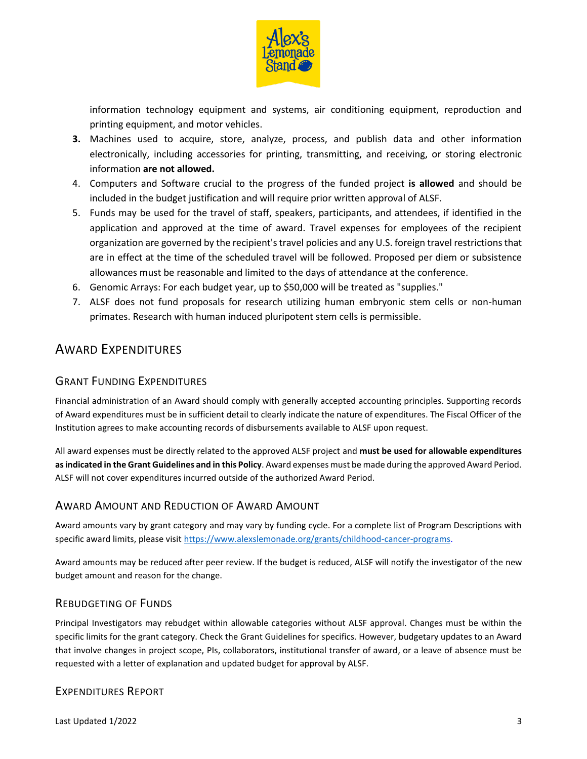

information technology equipment and systems, air conditioning equipment, reproduction and printing equipment, and motor vehicles.

- **3.** Machines used to acquire, store, analyze, process, and publish data and other information electronically, including accessories for printing, transmitting, and receiving, or storing electronic information **are not allowed.**
- 4. Computers and Software crucial to the progress of the funded project **is allowed** and should be included in the budget justification and will require prior written approval of ALSF.
- 5. Funds may be used for the travel of staff, speakers, participants, and attendees, if identified in the application and approved at the time of award. Travel expenses for employees of the recipient organization are governed by the recipient's travel policies and any U.S. foreign travel restrictions that are in effect at the time of the scheduled travel will be followed. Proposed per diem or subsistence allowances must be reasonable and limited to the days of attendance at the conference.
- 6. Genomic Arrays: For each budget year, up to \$50,000 will be treated as "supplies."
- 7. ALSF does not fund proposals for research utilizing human embryonic stem cells or non-human primates. Research with human induced pluripotent stem cells is permissible.

# AWARD EXPENDITURES

#### GRANT FUNDING EXPENDITURES

Financial administration of an Award should comply with generally accepted accounting principles. Supporting records of Award expenditures must be in sufficient detail to clearly indicate the nature of expenditures. The Fiscal Officer of the Institution agrees to make accounting records of disbursements available to ALSF upon request.

All award expenses must be directly related to the approved ALSF project and **must be used for allowable expenditures as indicated in the Grant Guidelines and in this Policy**. Award expenses must be made during the approved Award Period. ALSF will not cover expenditures incurred outside of the authorized Award Period.

#### AWARD AMOUNT AND REDUCTION OF AWARD AMOUNT

Award amounts vary by grant category and may vary by funding cycle. For a complete list of Program Descriptions with specific award limits, please visit [https://www.alexslemonade.org/grants/childhood-cancer-programs.](https://www.alexslemonade.org/grants/childhood-cancer-programs)

Award amounts may be reduced after peer review. If the budget is reduced, ALSF will notify the investigator of the new budget amount and reason for the change.

#### REBUDGETING OF FUNDS

Principal Investigators may rebudget within allowable categories without ALSF approval. Changes must be within the specific limits for the grant category. Check the Grant Guidelines for specifics. However, budgetary updates to an Award that involve changes in project scope, PIs, collaborators, institutional transfer of award, or a leave of absence must be requested with a letter of explanation and updated budget for approval by ALSF.

# EXPENDITURES REPORT

Last Updated 1/2022 3